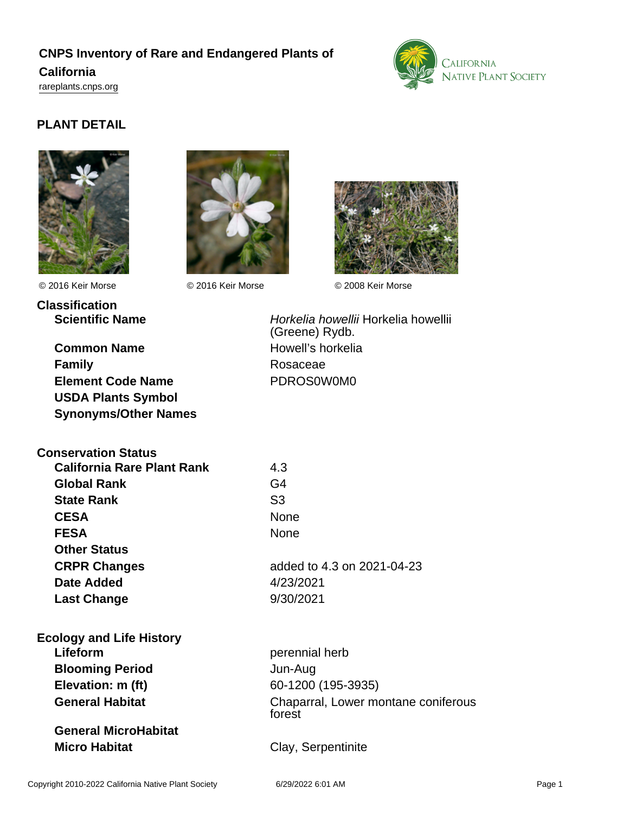# **CNPS Inventory of Rare and Endangered Plants of**

### **California**

<rareplants.cnps.org>



## **PLANT DETAIL**





**Classification**

© 2016 Keir Morse © 2016 Keir Morse © 2008 Keir Morse



**Common Name** Howell's horkelia **Family** Rosaceae **Element Code Name** PDROS0W0M0 **USDA Plants Symbol Synonyms/Other Names**

**Scientific Name Horkelia howellii Horkelia howellii** (Greene) Rydb.

| <b>Conservation Status</b>        |                            |
|-----------------------------------|----------------------------|
| <b>California Rare Plant Rank</b> | 4.3                        |
| <b>Global Rank</b>                | G4                         |
| <b>State Rank</b>                 | S3                         |
| <b>CESA</b>                       | None                       |
| <b>FESA</b>                       | None                       |
| <b>Other Status</b>               |                            |
| <b>CRPR Changes</b>               | added to 4.3 on 2021-04-23 |
| <b>Date Added</b>                 | 4/23/2021                  |
| <b>Last Change</b>                | 9/30/2021                  |
| <b>Ecology and Life History</b>   |                            |
| Lifeform                          | perennial herb             |
| <b>Blooming Period</b>            | Jun-Aug                    |
| Elevation: m (ft)                 | 60-1200 (195-3935)         |
| <b>General Habitat</b>            | Chaparral, Lower montane o |

**General MicroHabitat Micro Habitat** Clay, Serpentinite

**ne coniferous** forest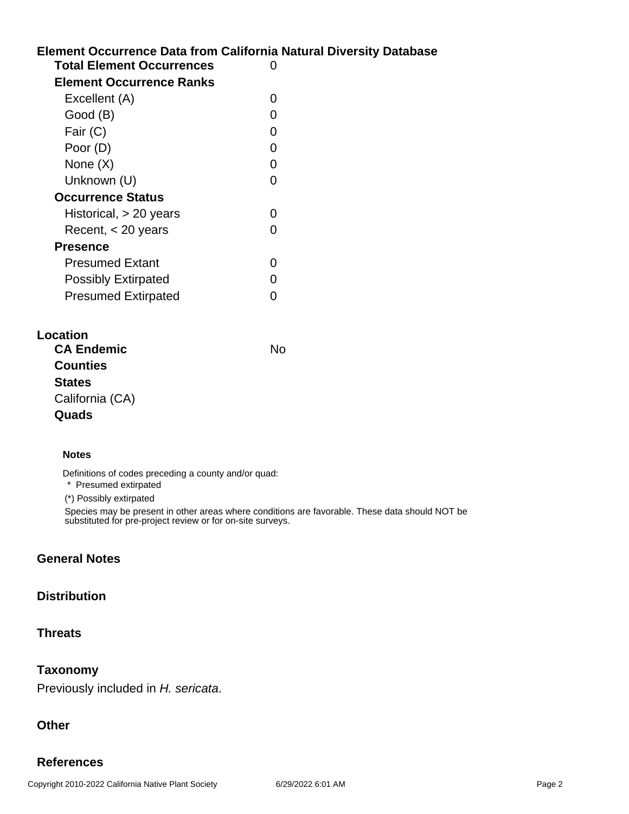# **Element Occurrence Data from California Natural Diversity Database Total Element Occurrences** 0 **Element Occurrence Ranks**  $E$ veollont  $(\Delta)$  0

| EXCEIIENT (A)              | U |
|----------------------------|---|
| Good (B)                   |   |
| Fair (C)                   | O |
| Poor (D)                   | ი |
| None (X)                   | ∩ |
| Unknown (U)                |   |
| <b>Occurrence Status</b>   |   |
| Historical, > 20 years     |   |
| Recent, < 20 years         |   |
| <b>Presence</b>            |   |
| <b>Presumed Extant</b>     |   |
| <b>Possibly Extirpated</b> |   |
| <b>Presumed Extirpated</b> |   |

| Location          |    |
|-------------------|----|
| <b>CA Endemic</b> | N٥ |
| <b>Counties</b>   |    |
| <b>States</b>     |    |
| California (CA)   |    |
| Quads             |    |

#### **Notes**

Definitions of codes preceding a county and/or quad:

\* Presumed extirpated

(\*) Possibly extirpated

Species may be present in other areas where conditions are favorable. These data should NOT be substituted for pre-project review or for on-site surveys.

#### **General Notes**

#### **Distribution**

#### **Threats**

#### **Taxonomy**

Previously included in H. sericata.

#### **Other**

#### **References**